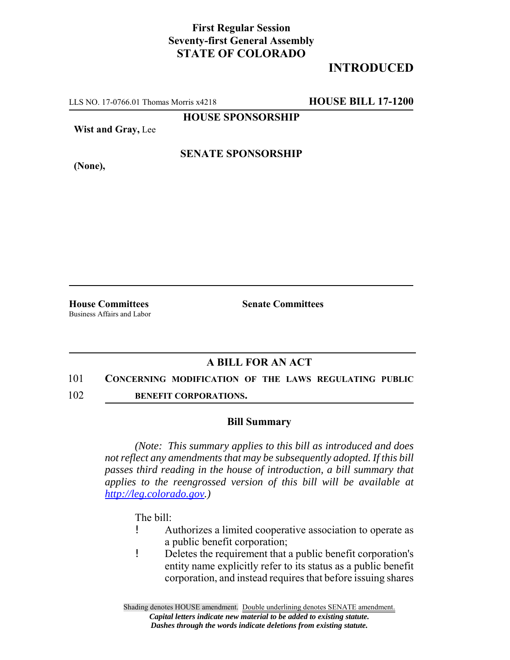## **First Regular Session Seventy-first General Assembly STATE OF COLORADO**

# **INTRODUCED**

LLS NO. 17-0766.01 Thomas Morris x4218 **HOUSE BILL 17-1200**

**HOUSE SPONSORSHIP**

**Wist and Gray,** Lee

**SENATE SPONSORSHIP**

**(None),**

Business Affairs and Labor

**House Committees Senate Committees** 

## **A BILL FOR AN ACT**

#### 101 **CONCERNING MODIFICATION OF THE LAWS REGULATING PUBLIC**

102 **BENEFIT CORPORATIONS.**

### **Bill Summary**

*(Note: This summary applies to this bill as introduced and does not reflect any amendments that may be subsequently adopted. If this bill passes third reading in the house of introduction, a bill summary that applies to the reengrossed version of this bill will be available at http://leg.colorado.gov.)*

The bill:

- ! Authorizes a limited cooperative association to operate as a public benefit corporation;
- ! Deletes the requirement that a public benefit corporation's entity name explicitly refer to its status as a public benefit corporation, and instead requires that before issuing shares

Shading denotes HOUSE amendment. Double underlining denotes SENATE amendment. *Capital letters indicate new material to be added to existing statute. Dashes through the words indicate deletions from existing statute.*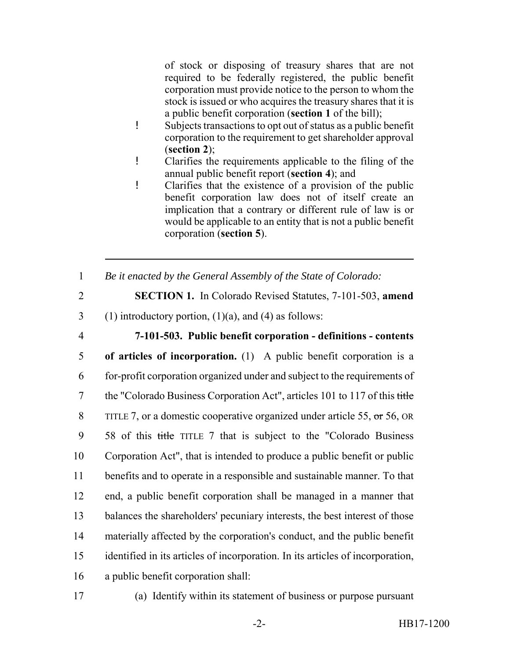of stock or disposing of treasury shares that are not required to be federally registered, the public benefit corporation must provide notice to the person to whom the stock is issued or who acquires the treasury shares that it is a public benefit corporation (**section 1** of the bill);

- ! Subjects transactions to opt out of status as a public benefit corporation to the requirement to get shareholder approval (**section 2**);
- ! Clarifies the requirements applicable to the filing of the annual public benefit report (**section 4**); and
- ! Clarifies that the existence of a provision of the public benefit corporation law does not of itself create an implication that a contrary or different rule of law is or would be applicable to an entity that is not a public benefit corporation (**section 5**).
- 1 *Be it enacted by the General Assembly of the State of Colorado:*
- 

2 **SECTION 1.** In Colorado Revised Statutes, 7-101-503, **amend**

3 (1) introductory portion,  $(1)(a)$ , and  $(4)$  as follows:

 **7-101-503. Public benefit corporation - definitions - contents of articles of incorporation.** (1) A public benefit corporation is a for-profit corporation organized under and subject to the requirements of 7 the "Colorado Business Corporation Act", articles 101 to 117 of this title 8 TITLE 7, or a domestic cooperative organized under article 55, or 56, OR 58 of this title TITLE 7 that is subject to the "Colorado Business Corporation Act", that is intended to produce a public benefit or public benefits and to operate in a responsible and sustainable manner. To that end, a public benefit corporation shall be managed in a manner that balances the shareholders' pecuniary interests, the best interest of those materially affected by the corporation's conduct, and the public benefit identified in its articles of incorporation. In its articles of incorporation, a public benefit corporation shall:

17 (a) Identify within its statement of business or purpose pursuant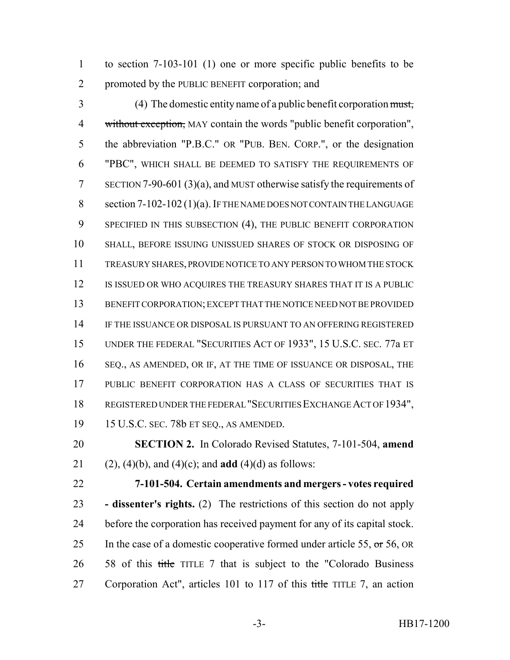to section 7-103-101 (1) one or more specific public benefits to be promoted by the PUBLIC BENEFIT corporation; and

 (4) The domestic entity name of a public benefit corporation must, 4 without exception, MAY contain the words "public benefit corporation", the abbreviation "P.B.C." OR "PUB. BEN. CORP.", or the designation "PBC", WHICH SHALL BE DEEMED TO SATISFY THE REQUIREMENTS OF SECTION 7-90-601 (3)(a), and MUST otherwise satisfy the requirements of 8 section 7-102-102 (1)(a). IF THE NAME DOES NOT CONTAIN THE LANGUAGE 9 SPECIFIED IN THIS SUBSECTION (4), THE PUBLIC BENEFIT CORPORATION SHALL, BEFORE ISSUING UNISSUED SHARES OF STOCK OR DISPOSING OF TREASURY SHARES, PROVIDE NOTICE TO ANY PERSON TO WHOM THE STOCK 12 IS ISSUED OR WHO ACQUIRES THE TREASURY SHARES THAT IT IS A PUBLIC BENEFIT CORPORATION; EXCEPT THAT THE NOTICE NEED NOT BE PROVIDED 14 IF THE ISSUANCE OR DISPOSAL IS PURSUANT TO AN OFFERING REGISTERED UNDER THE FEDERAL "SECURITIES ACT OF 1933", 15 U.S.C. SEC. 77a ET SEQ., AS AMENDED, OR IF, AT THE TIME OF ISSUANCE OR DISPOSAL, THE PUBLIC BENEFIT CORPORATION HAS A CLASS OF SECURITIES THAT IS REGISTERED UNDER THE FEDERAL "SECURITIES EXCHANGE ACT OF 1934", 15 U.S.C. SEC. 78b ET SEQ., AS AMENDED.

 **SECTION 2.** In Colorado Revised Statutes, 7-101-504, **amend** 21 (2), (4)(b), and (4)(c); and **add** (4)(d) as follows:

 **7-101-504. Certain amendments and mergers - votes required - dissenter's rights.** (2) The restrictions of this section do not apply before the corporation has received payment for any of its capital stock. 25 In the case of a domestic cooperative formed under article 55,  $\sigma$  56, OR 26 58 of this title TITLE 7 that is subject to the "Colorado Business" 27 Corporation Act", articles 101 to 117 of this title TITLE 7, an action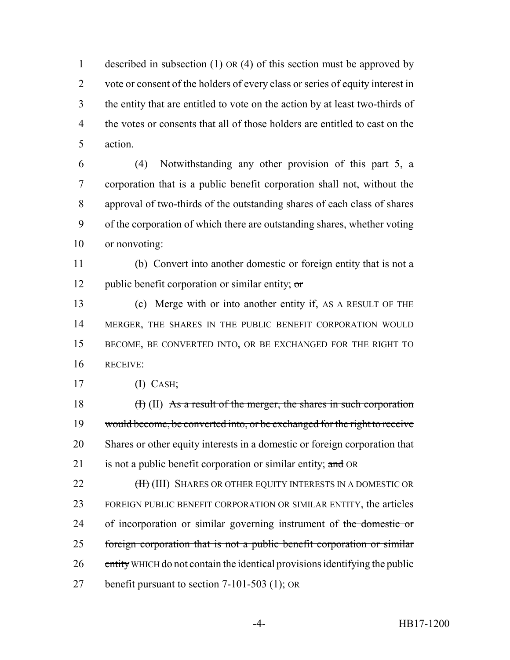described in subsection (1) OR (4) of this section must be approved by vote or consent of the holders of every class or series of equity interest in the entity that are entitled to vote on the action by at least two-thirds of the votes or consents that all of those holders are entitled to cast on the action.

 (4) Notwithstanding any other provision of this part 5, a corporation that is a public benefit corporation shall not, without the approval of two-thirds of the outstanding shares of each class of shares of the corporation of which there are outstanding shares, whether voting or nonvoting:

 (b) Convert into another domestic or foreign entity that is not a 12 public benefit corporation or similar entity;  $\sigma$ 

 (c) Merge with or into another entity if, AS A RESULT OF THE 14 MERGER, THE SHARES IN THE PUBLIC BENEFIT CORPORATION WOULD BECOME, BE CONVERTED INTO, OR BE EXCHANGED FOR THE RIGHT TO RECEIVE:

(I) CASH;

 $(H)$  (II) As a result of the merger, the shares in such corporation would become, be converted into, or be exchanged for the right to receive Shares or other equity interests in a domestic or foreign corporation that 21 is not a public benefit corporation or similar entity; and OR

**(H)** (III) SHARES OR OTHER EQUITY INTERESTS IN A DOMESTIC OR FOREIGN PUBLIC BENEFIT CORPORATION OR SIMILAR ENTITY, the articles 24 of incorporation or similar governing instrument of the domestic or foreign corporation that is not a public benefit corporation or similar 26 entity WHICH do not contain the identical provisions identifying the public benefit pursuant to section 7-101-503 (1); OR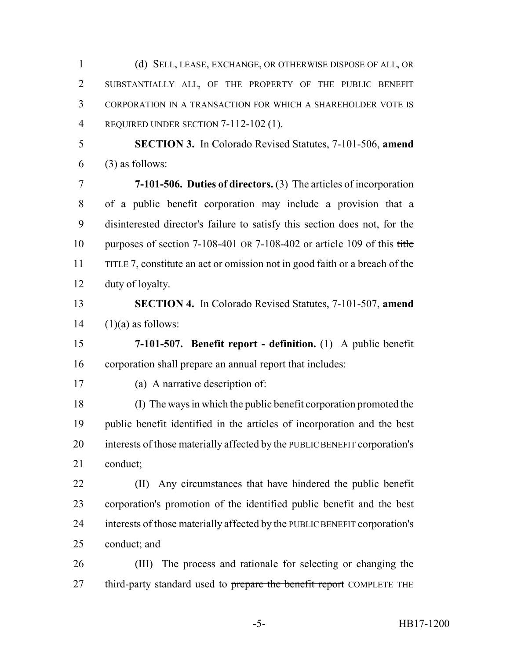(d) SELL, LEASE, EXCHANGE, OR OTHERWISE DISPOSE OF ALL, OR SUBSTANTIALLY ALL, OF THE PROPERTY OF THE PUBLIC BENEFIT CORPORATION IN A TRANSACTION FOR WHICH A SHAREHOLDER VOTE IS REQUIRED UNDER SECTION 7-112-102 (1).

 **SECTION 3.** In Colorado Revised Statutes, 7-101-506, **amend** (3) as follows:

 **7-101-506. Duties of directors.** (3) The articles of incorporation of a public benefit corporation may include a provision that a disinterested director's failure to satisfy this section does not, for the 10 purposes of section 7-108-401 OR 7-108-402 or article 109 of this title TITLE 7, constitute an act or omission not in good faith or a breach of the duty of loyalty.

 **SECTION 4.** In Colorado Revised Statutes, 7-101-507, **amend** (1)(a) as follows:

 **7-101-507. Benefit report - definition.** (1) A public benefit corporation shall prepare an annual report that includes:

(a) A narrative description of:

 (I) The ways in which the public benefit corporation promoted the public benefit identified in the articles of incorporation and the best interests of those materially affected by the PUBLIC BENEFIT corporation's conduct;

 (II) Any circumstances that have hindered the public benefit corporation's promotion of the identified public benefit and the best interests of those materially affected by the PUBLIC BENEFIT corporation's conduct; and

 (III) The process and rationale for selecting or changing the 27 third-party standard used to prepare the benefit report COMPLETE THE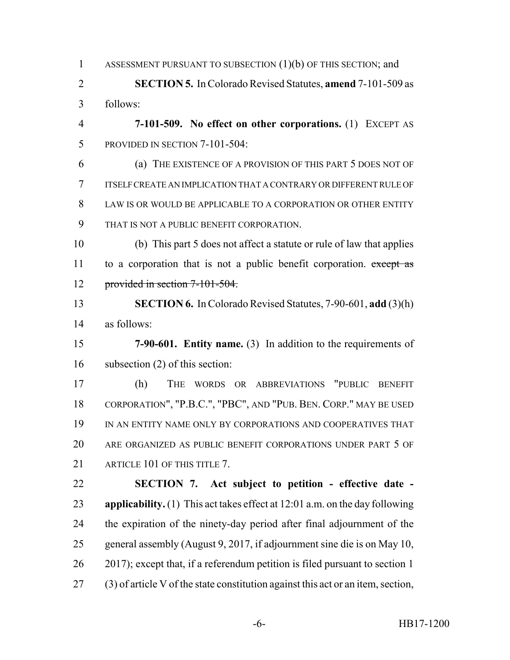1 ASSESSMENT PURSUANT TO SUBSECTION (1)(b) OF THIS SECTION; and

 **SECTION 5.** In Colorado Revised Statutes, **amend** 7-101-509 as follows:

 **7-101-509. No effect on other corporations.** (1) EXCEPT AS PROVIDED IN SECTION 7-101-504:

 (a) THE EXISTENCE OF A PROVISION OF THIS PART 5 DOES NOT OF ITSELF CREATE AN IMPLICATION THAT A CONTRARY OR DIFFERENT RULE OF 8 LAW IS OR WOULD BE APPLICABLE TO A CORPORATION OR OTHER ENTITY THAT IS NOT A PUBLIC BENEFIT CORPORATION.

 (b) This part 5 does not affect a statute or rule of law that applies 11 to a corporation that is not a public benefit corporation. except as provided in section 7-101-504.

 **SECTION 6.** In Colorado Revised Statutes, 7-90-601, **add** (3)(h) as follows:

 **7-90-601. Entity name.** (3) In addition to the requirements of subsection (2) of this section:

 (h) THE WORDS OR ABBREVIATIONS "PUBLIC BENEFIT CORPORATION", "P.B.C.", "PBC", AND "PUB. BEN. CORP." MAY BE USED IN AN ENTITY NAME ONLY BY CORPORATIONS AND COOPERATIVES THAT ARE ORGANIZED AS PUBLIC BENEFIT CORPORATIONS UNDER PART 5 OF 21 ARTICLE 101 OF THIS TITLE 7.

 **SECTION 7. Act subject to petition - effective date - applicability.** (1) This act takes effect at 12:01 a.m. on the day following the expiration of the ninety-day period after final adjournment of the general assembly (August 9, 2017, if adjournment sine die is on May 10, 2017); except that, if a referendum petition is filed pursuant to section 1 (3) of article V of the state constitution against this act or an item, section,